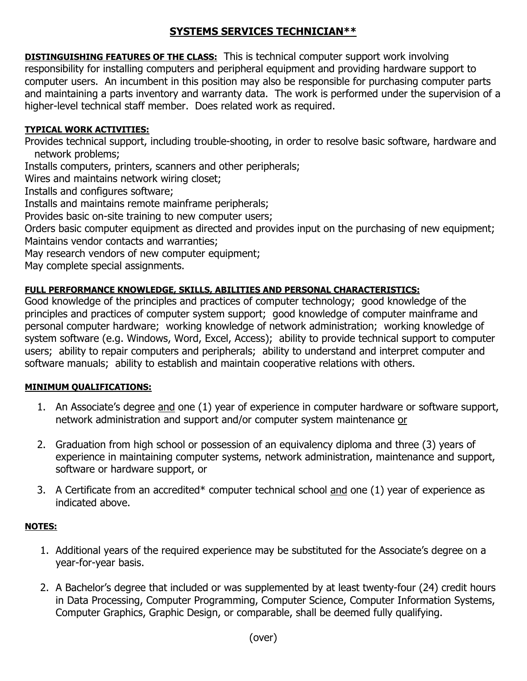# **SYSTEMS SERVICES TECHNICIAN\*\***

**DISTINGUISHING FEATURES OF THE CLASS:** This is technical computer support work involving responsibility for installing computers and peripheral equipment and providing hardware support to computer users. An incumbent in this position may also be responsible for purchasing computer parts and maintaining a parts inventory and warranty data. The work is performed under the supervision of a higher-level technical staff member. Does related work as required.

## **TYPICAL WORK ACTIVITIES:**

Provides technical support, including trouble-shooting, in order to resolve basic software, hardware and network problems;

Installs computers, printers, scanners and other peripherals;

Wires and maintains network wiring closet;

Installs and configures software;

Installs and maintains remote mainframe peripherals;

Provides basic on-site training to new computer users;

Orders basic computer equipment as directed and provides input on the purchasing of new equipment; Maintains vendor contacts and warranties;

May research vendors of new computer equipment;

May complete special assignments.

### **FULL PERFORMANCE KNOWLEDGE, SKILLS, ABILITIES AND PERSONAL CHARACTERISTICS:**

Good knowledge of the principles and practices of computer technology; good knowledge of the principles and practices of computer system support; good knowledge of computer mainframe and personal computer hardware; working knowledge of network administration; working knowledge of system software (e.g. Windows, Word, Excel, Access); ability to provide technical support to computer users; ability to repair computers and peripherals; ability to understand and interpret computer and software manuals; ability to establish and maintain cooperative relations with others.

### **MINIMUM QUALIFICATIONS:**

- 1. An Associate's degree and one (1) year of experience in computer hardware or software support, network administration and support and/or computer system maintenance or
- 2. Graduation from high school or possession of an equivalency diploma and three (3) years of experience in maintaining computer systems, network administration, maintenance and support, software or hardware support, or
- 3. A Certificate from an accredited\* computer technical school and one (1) year of experience as indicated above.

### **NOTES:**

- 1. Additional years of the required experience may be substituted for the Associate's degree on a year-for-year basis.
- 2. A Bachelor's degree that included or was supplemented by at least twenty-four (24) credit hours in Data Processing, Computer Programming, Computer Science, Computer Information Systems, Computer Graphics, Graphic Design, or comparable, shall be deemed fully qualifying.